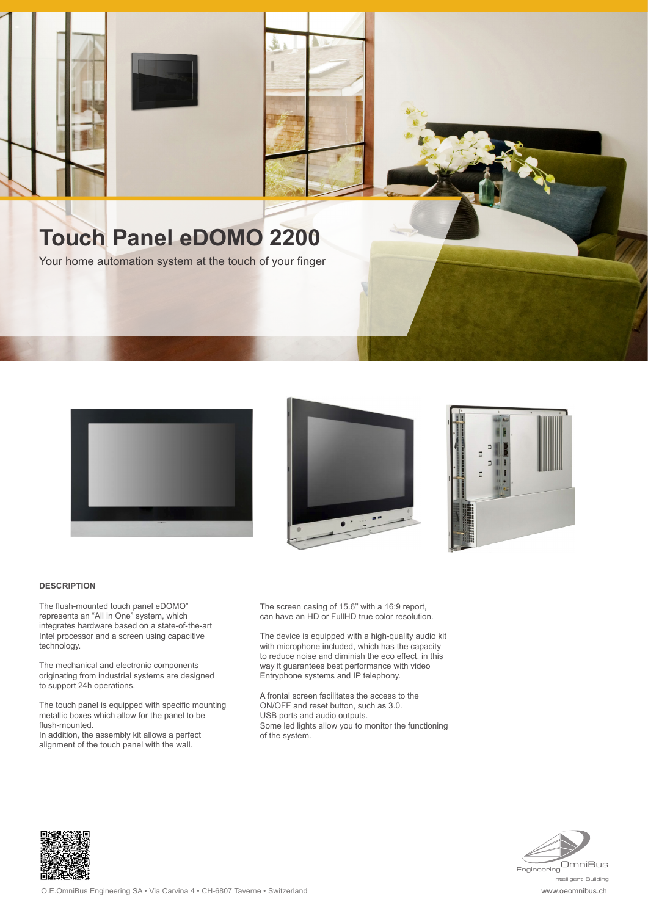

## **Touch Panel eDOMO 2200**

Your home automation system at the touch of your finger







## **DESCRIPTION**

The flush-mounted touch panel eDOMO" represents an "All in One" system, which integrates hardware based on a state-of-the-art Intel processor and a screen using capacitive technology.

The mechanical and electronic components originating from industrial systems are designed to support 24h operations.

The touch panel is equipped with specific mounting metallic boxes which allow for the panel to be flush-mounted.

In addition, the assembly kit allows a perfect alignment of the touch panel with the wall.

The screen casing of 15.6'' with a 16:9 report, can have an HD or FullHD true color resolution.

The device is equipped with a high-quality audio kit with microphone included, which has the capacity to reduce noise and diminish the eco effect, in this way it guarantees best performance with video Entryphone systems and IP telephony.

A frontal screen facilitates the access to the ON/OFF and reset button, such as 3.0. USB ports and audio outputs. Some led lights allow you to monitor the functioning of the system.